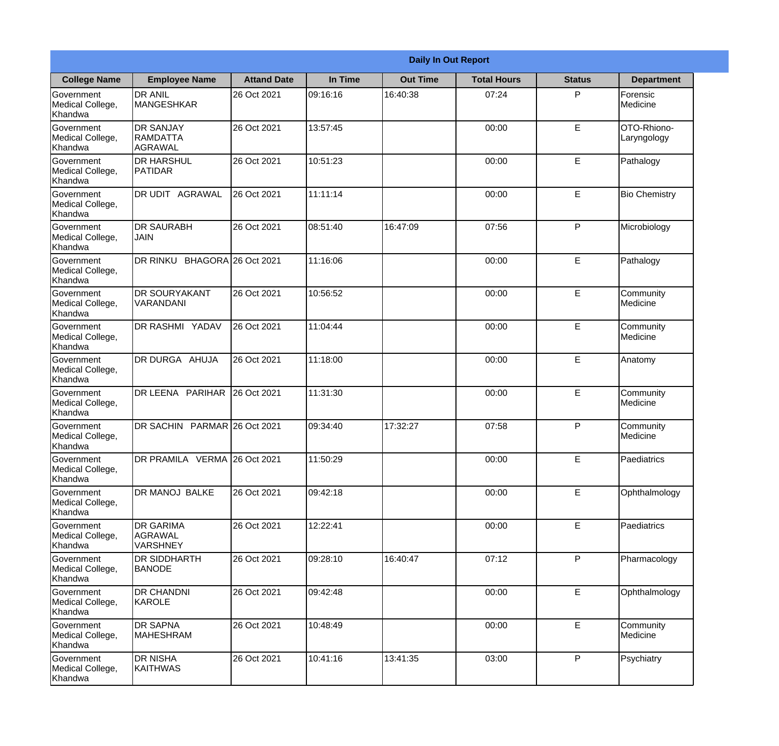|                                                  | <b>Daily In Out Report</b>                     |                    |          |                 |                    |               |                            |  |
|--------------------------------------------------|------------------------------------------------|--------------------|----------|-----------------|--------------------|---------------|----------------------------|--|
| <b>College Name</b>                              | <b>Employee Name</b>                           | <b>Attand Date</b> | In Time  | <b>Out Time</b> | <b>Total Hours</b> | <b>Status</b> | <b>Department</b>          |  |
| Government<br>Medical College,<br>Khandwa        | <b>DR ANIL</b><br><b>MANGESHKAR</b>            | 26 Oct 2021        | 09:16:16 | 16:40:38        | 07:24              | P             | Forensic<br>Medicine       |  |
| Government<br>Medical College,<br>Khandwa        | <b>DR SANJAY</b><br><b>RAMDATTA</b><br>AGRAWAL | 26 Oct 2021        | 13:57:45 |                 | 00:00              | E             | OTO-Rhiono-<br>Laryngology |  |
| Government<br>Medical College,<br>Khandwa        | <b>DR HARSHUL</b><br>PATIDAR                   | 26 Oct 2021        | 10:51:23 |                 | 00:00              | E             | Pathalogy                  |  |
| <b>Government</b><br>Medical College,<br>Khandwa | <b>AGRAWAL</b><br>DR UDIT                      | 26 Oct 2021        | 11:11:14 |                 | 00:00              | E             | <b>Bio Chemistry</b>       |  |
| Government<br>Medical College,<br>Khandwa        | <b>DR SAURABH</b><br><b>JAIN</b>               | 26 Oct 2021        | 08:51:40 | 16:47:09        | 07:56              | P             | Microbiology               |  |
| Government<br>Medical College,<br>Khandwa        | DR RINKU BHAGORA 26 Oct 2021                   |                    | 11:16:06 |                 | 00:00              | E             | Pathalogy                  |  |
| Government<br>Medical College,<br>Khandwa        | <b>DR SOURYAKANT</b><br>VARANDANI              | 26 Oct 2021        | 10:56:52 |                 | 00:00              | E             | Community<br>Medicine      |  |
| <b>Government</b><br>Medical College,<br>Khandwa | <b>DR RASHMI YADAV</b>                         | 26 Oct 2021        | 11:04:44 |                 | 00:00              | E             | Community<br>Medicine      |  |
| Government<br>Medical College,<br>Khandwa        | DR DURGA AHUJA                                 | 26 Oct 2021        | 11:18:00 |                 | 00:00              | E             | Anatomy                    |  |
| Government<br>Medical College,<br>Khandwa        | DR LEENA PARIHAR                               | 26 Oct 2021        | 11:31:30 |                 | 00:00              | E             | Community<br>Medicine      |  |
| Government<br>Medical College,<br>Khandwa        | DR SACHIN PARMAR 26 Oct 2021                   |                    | 09:34:40 | 17:32:27        | 07:58              | P             | Community<br>Medicine      |  |
| Government<br>Medical College,<br>Khandwa        | DR PRAMILA VERMA 26 Oct 2021                   |                    | 11:50:29 |                 | 00:00              | E             | Paediatrics                |  |
| Government<br>Medical College,<br>Khandwa        | DR MANOJ BALKE                                 | 26 Oct 2021        | 09:42:18 |                 | 00:00              | E             | Ophthalmology              |  |
| Government<br>Medical College,<br>Khandwa        | <b>DR GARIMA</b><br>AGRAWAL<br><b>VARSHNEY</b> | 26 Oct 2021        | 12:22:41 |                 | 00:00              | E             | Paediatrics                |  |
| Government<br>Medical College,<br>Khandwa        | <b>DR SIDDHARTH</b><br><b>BANODE</b>           | 26 Oct 2021        | 09:28:10 | 16:40:47        | 07:12              | P             | Pharmacology               |  |
| Government<br>Medical College,<br>Khandwa        | <b>DR CHANDNI</b><br>KAROLE                    | 26 Oct 2021        | 09:42:48 |                 | 00:00              | E             | Ophthalmology              |  |
| Government<br>Medical College,<br>Khandwa        | <b>DR SAPNA</b><br><b>MAHESHRAM</b>            | 26 Oct 2021        | 10:48:49 |                 | 00:00              | E             | Community<br>Medicine      |  |
| Government<br>Medical College,<br>Khandwa        | <b>DR NISHA</b><br>KAITHWAS                    | 26 Oct 2021        | 10:41:16 | 13:41:35        | 03:00              | P             | Psychiatry                 |  |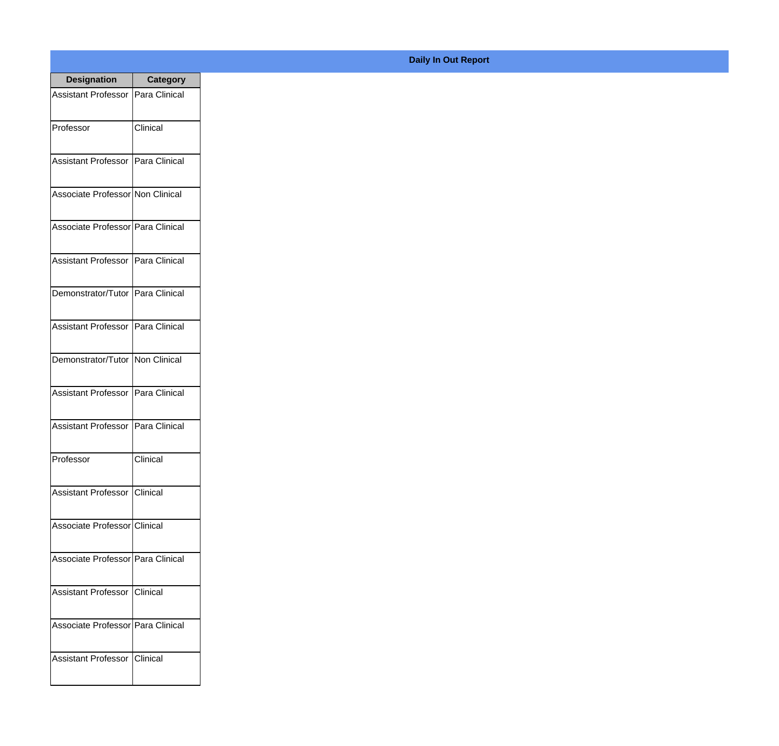| <b>Designation</b>                    | <b>Category</b> |
|---------------------------------------|-----------------|
| Assistant Professor   Para Clinical   |                 |
| Professor                             | Clinical        |
| Assistant Professor   Para Clinical   |                 |
| Associate Professor Non Clinical      |                 |
| Associate Professor Para Clinical     |                 |
| Assistant Professor   Para Clinical   |                 |
| Demonstrator/Tutor   Para Clinical    |                 |
| Assistant Professor   Para Clinical   |                 |
| Demonstrator/Tutor   Non Clinical     |                 |
| <b>Assistant Professor</b>            | Para Clinical   |
| Assistant Professor                   | Para Clinical   |
| Professor                             | Clinical        |
| <b>Assistant Professor   Clinical</b> |                 |
| Associate Professor Clinical          |                 |
| Associate Professor Para Clinical     |                 |
| Assistant Professor   Clinical        |                 |
| Associate Professor   Para Clinical   |                 |
| Assistant Professor   Clinical        |                 |

## **Daily In Out Report**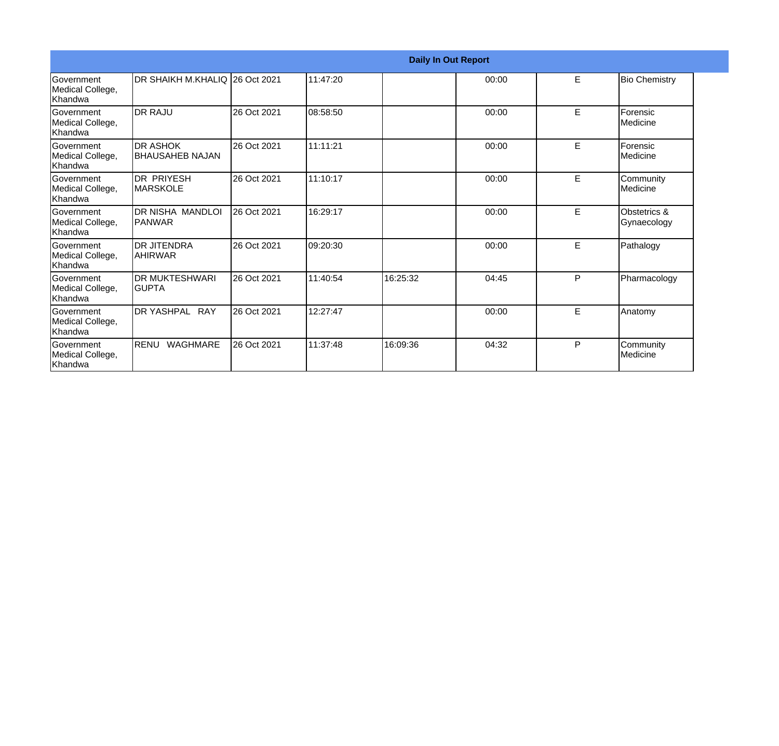|                                                  | <b>Daily In Out Report</b>                |             |          |          |       |   |                             |  |
|--------------------------------------------------|-------------------------------------------|-------------|----------|----------|-------|---|-----------------------------|--|
| <b>Government</b><br>Medical College,<br>Khandwa | DR SHAIKH M.KHALIQ 126 Oct 2021           |             | 11:47:20 |          | 00:00 | E | <b>Bio Chemistry</b>        |  |
| Government<br>Medical College,<br>Khandwa        | <b>DR RAJU</b>                            | 26 Oct 2021 | 08:58:50 |          | 00:00 | E | Forensic<br>Medicine        |  |
| Government<br>Medical College,<br>Khandwa        | <b>DR ASHOK</b><br><b>BHAUSAHEB NAJAN</b> | 26 Oct 2021 | 11:11:21 |          | 00:00 | E | Forensic<br>Medicine        |  |
| Government<br>Medical College,<br>Khandwa        | <b>DR PRIYESH</b><br>IMARSKOLE            | 26 Oct 2021 | 11:10:17 |          | 00:00 | E | Community<br>Medicine       |  |
| Government<br>Medical College,<br>Khandwa        | DR NISHA MANDLOI<br>PANWAR                | 26 Oct 2021 | 16:29:17 |          | 00:00 | E | Obstetrics &<br>Gynaecology |  |
| Government<br>Medical College,<br>Khandwa        | <b>DR JITENDRA</b><br><b>AHIRWAR</b>      | 26 Oct 2021 | 09:20:30 |          | 00:00 | E | Pathalogy                   |  |
| Government<br>Medical College,<br>Khandwa        | <b>DR MUKTESHWARI</b><br>IGUPTA           | 26 Oct 2021 | 11:40:54 | 16:25:32 | 04:45 | P | Pharmacology                |  |
| <b>Government</b><br>Medical College,<br>Khandwa | DR YASHPAL RAY                            | 26 Oct 2021 | 12:27:47 |          | 00:00 | E | Anatomy                     |  |
| Government<br>Medical College,<br>Khandwa        | <b>RENU</b><br><b>WAGHMARE</b>            | 26 Oct 2021 | 11:37:48 | 16:09:36 | 04:32 | P | Community<br>Medicine       |  |